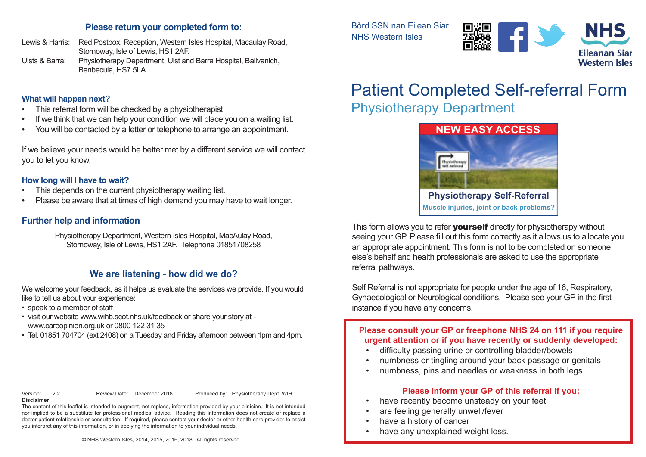#### **Please return your completed form to:**

Lewis & Harris: Red Postbox, Reception, Western Isles Hospital, Macaulav Road. Stornoway, Isle of Lewis, HS1 2AF.

Uists & Barra: Physiotherapy Department, Uist and Barra Hospital, Balivanich, Benbecula, HS7 5LA.

### **What will happen next?**

- This referral form will be checked by a physiotherapist.
- If we think that we can help your condition we will place you on a waiting list.
- You will be contacted by a letter or telephone to arrange an appointment.

If we believe your needs would be better met by a different service we will contact you to let you know.

## **How long will I have to wait?**

- This depends on the current physiotherapy waiting list.
- Please be aware that at times of high demand you may have to wait longer.

## **Further help and information**

Physiotherapy Department, Western Isles Hospital, MacAulay Road, Stornoway, Isle of Lewis, HS1 2AF. Telephone 01851708258

# **We are listening - how did we do?**

We welcome your feedback, as it helps us evaluate the services we provide. If you would like to tell us about your experience:

- speak to a member of staff
- visit our website www.wihb.scot.nhs.uk/feedback or share your story at www.careopinion.org.uk or 0800 122 31 35
- Tel. 01851 704704 (ext 2408) on a Tuesday and Friday afternoon between 1pm and 4pm.

Version: 2.2 Review Date: December 2018 Produced by: Physiotherapy Dept, WIH. **Disclaimer**

The content of this leaflet is intended to augment, not replace, information provided by your clinician. It is not intended nor implied to be a substitute for professional medical advice. Reading this information does not create or replace a doctor-patient relationship or consultation. If required, please contact your doctor or other health care provider to assist you interpret any of this information, or in applying the information to your individual needs.

Bòrd SSN nan Eilean Siar NHS Western Isles





# Patient Completed Self-referral Form Physiotherapy Department



**Muscle injuries, joint or back problems?**

This form allows you to refer **yourself** directly for physiotherapy without seeing your GP. Please fill out this form correctly as it allows us to allocate you an appropriate appointment. This form is not to be completed on someone else's behalf and health professionals are asked to use the appropriate referral pathways.

Self Referral is not appropriate for people under the age of 16, Respiratory, Gynaecological or Neurological conditions. Please see your GP in the first instance if you have any concerns.

#### **Please consult your GP or freephone NHS 24 on 111 if you require urgent attention or if you have recently or suddenly developed:**

- difficulty passing urine or controlling bladder/bowels
- numbness or tingling around your back passage or genitals
- numbness, pins and needles or weakness in both legs.

## **Please inform your GP of this referral if you:**

- have recently become unsteady on your feet
- are feeling generally unwell/fever
- have a history of cancer
- have any unexplained weight loss.